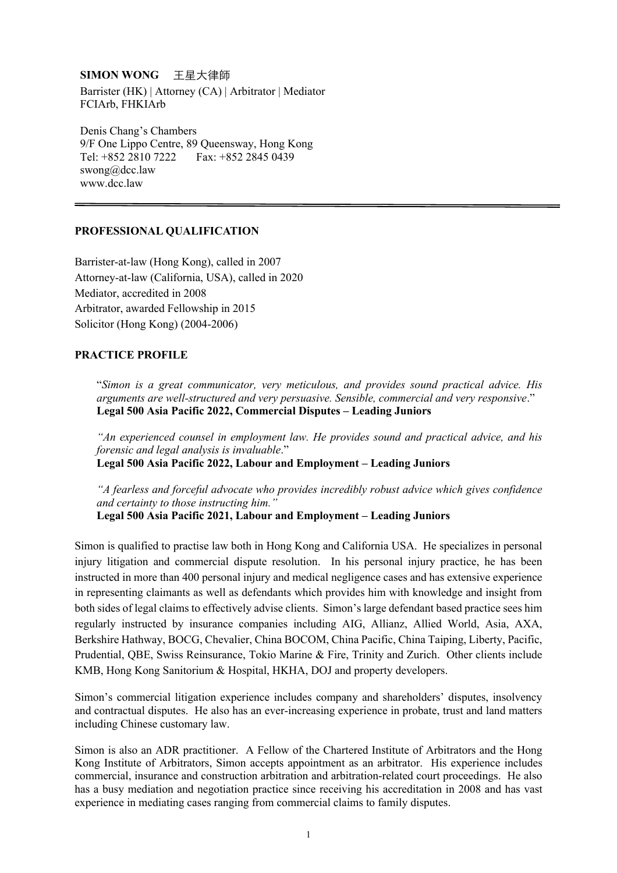## **SIMON WONG** 王星大律師

Barrister (HK) | Attorney (CA) | Arbitrator | Mediator FCIArb, FHKIArb

Denis Chang's Chambers 9/F One Lippo Centre, 89 Queensway, Hong Kong Tel: +852 2810 7222 Fax: +852 2845 0439 swong@dcc.law www.dcc.law

#### **PROFESSIONAL QUALIFICATION**

Barrister-at-law (Hong Kong), called in 2007 Attorney-at-law (California, USA), called in 2020 Mediator, accredited in 2008 Arbitrator, awarded Fellowship in 2015 Solicitor (Hong Kong) (2004-2006)

### **PRACTICE PROFILE**

"*Simon is a great communicator, very meticulous, and provides sound practical advice. His arguments are well-structured and very persuasive. Sensible, commercial and very responsive*." **Legal 500 Asia Pacific 2022, Commercial Disputes – Leading Juniors** 

*"An experienced counsel in employment law. He provides sound and practical advice, and his forensic and legal analysis is invaluable*."

**Legal 500 Asia Pacific 2022, Labour and Employment – Leading Juniors** 

*"A fearless and forceful advocate who provides incredibly robust advice which gives confidence and certainty to those instructing him."* 

**Legal 500 Asia Pacific 2021, Labour and Employment – Leading Juniors** 

Simon is qualified to practise law both in Hong Kong and California USA. He specializes in personal injury litigation and commercial dispute resolution. In his personal injury practice, he has been instructed in more than 400 personal injury and medical negligence cases and has extensive experience in representing claimants as well as defendants which provides him with knowledge and insight from both sides of legal claims to effectively advise clients. Simon's large defendant based practice sees him regularly instructed by insurance companies including AIG, Allianz, Allied World, Asia, AXA, Berkshire Hathway, BOCG, Chevalier, China BOCOM, China Pacific, China Taiping, Liberty, Pacific, Prudential, QBE, Swiss Reinsurance, Tokio Marine & Fire, Trinity and Zurich. Other clients include KMB, Hong Kong Sanitorium & Hospital, HKHA, DOJ and property developers.

Simon's commercial litigation experience includes company and shareholders' disputes, insolvency and contractual disputes. He also has an ever-increasing experience in probate, trust and land matters including Chinese customary law.

Simon is also an ADR practitioner. A Fellow of the Chartered Institute of Arbitrators and the Hong Kong Institute of Arbitrators, Simon accepts appointment as an arbitrator. His experience includes commercial, insurance and construction arbitration and arbitration-related court proceedings. He also has a busy mediation and negotiation practice since receiving his accreditation in 2008 and has vast experience in mediating cases ranging from commercial claims to family disputes.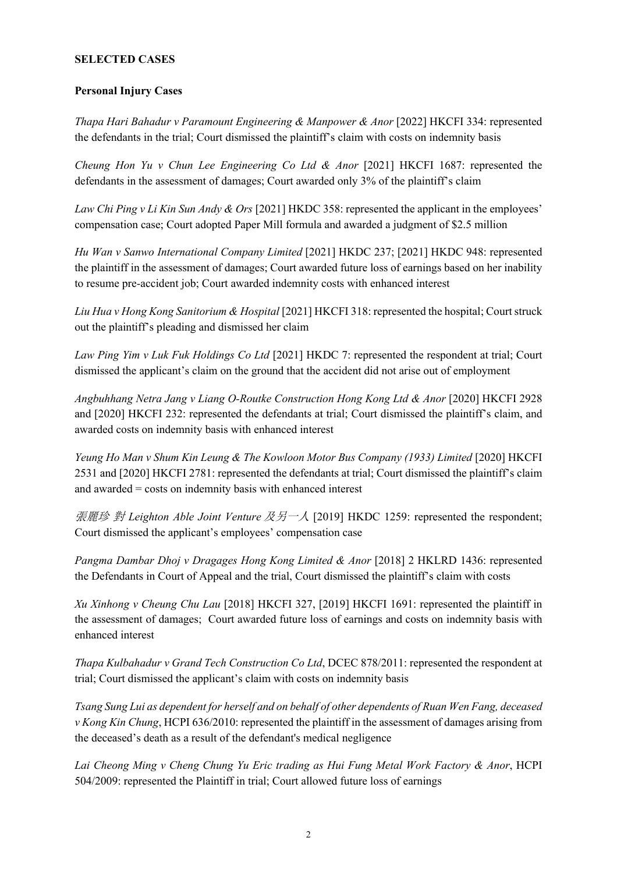#### **SELECTED CASES**

#### **Personal Injury Cases**

*Thapa Hari Bahadur v Paramount Engineering & Manpower & Anor* [2022] HKCFI 334: represented the defendants in the trial; Court dismissed the plaintiff's claim with costs on indemnity basis

*Cheung Hon Yu v Chun Lee Engineering Co Ltd & Anor* [2021] HKCFI 1687: represented the defendants in the assessment of damages; Court awarded only 3% of the plaintiff's claim

*Law Chi Ping v Li Kin Sun Andy & Ors* [2021] HKDC 358: represented the applicant in the employees' compensation case; Court adopted Paper Mill formula and awarded a judgment of \$2.5 million

*Hu Wan v Sanwo International Company Limited* [2021] HKDC 237; [2021] HKDC 948: represented the plaintiff in the assessment of damages; Court awarded future loss of earnings based on her inability to resume pre-accident job; Court awarded indemnity costs with enhanced interest

*Liu Hua v Hong Kong Sanitorium & Hospital* [2021] HKCFI 318: represented the hospital; Court struck out the plaintiff's pleading and dismissed her claim

*Law Ping Yim v Luk Fuk Holdings Co Ltd* [2021] HKDC 7: represented the respondent at trial; Court dismissed the applicant's claim on the ground that the accident did not arise out of employment

*Angbuhhang Netra Jang v Liang O-Routke Construction Hong Kong Ltd & Anor* [2020] HKCFI 2928 and [2020] HKCFI 232: represented the defendants at trial; Court dismissed the plaintiff's claim, and awarded costs on indemnity basis with enhanced interest

*Yeung Ho Man v Shum Kin Leung & The Kowloon Motor Bus Company (1933) Limited* [2020] HKCFI 2531 and [2020] HKCFI 2781: represented the defendants at trial; Court dismissed the plaintiff's claim and awarded = costs on indemnity basis with enhanced interest

張麗珍 對 *Leighton Able Joint Venture* 及另一人 [2019] HKDC 1259: represented the respondent; Court dismissed the applicant's employees' compensation case

*Pangma Dambar Dhoj v Dragages Hong Kong Limited & Anor* [2018] 2 HKLRD 1436: represented the Defendants in Court of Appeal and the trial, Court dismissed the plaintiff's claim with costs

*Xu Xinhong v Cheung Chu Lau* [2018] HKCFI 327, [2019] HKCFI 1691: represented the plaintiff in the assessment of damages; Court awarded future loss of earnings and costs on indemnity basis with enhanced interest

*Thapa Kulbahadur v Grand Tech Construction Co Ltd*, DCEC 878/2011: represented the respondent at trial; Court dismissed the applicant's claim with costs on indemnity basis

*Tsang Sung Lui as dependent for herself and on behalf of other dependents of Ruan Wen Fang, deceased v Kong Kin Chung*, HCPI 636/2010: represented the plaintiff in the assessment of damages arising from the deceased's death as a result of the defendant's medical negligence

*Lai Cheong Ming v Cheng Chung Yu Eric trading as Hui Fung Metal Work Factory & Anor*, HCPI 504/2009: represented the Plaintiff in trial; Court allowed future loss of earnings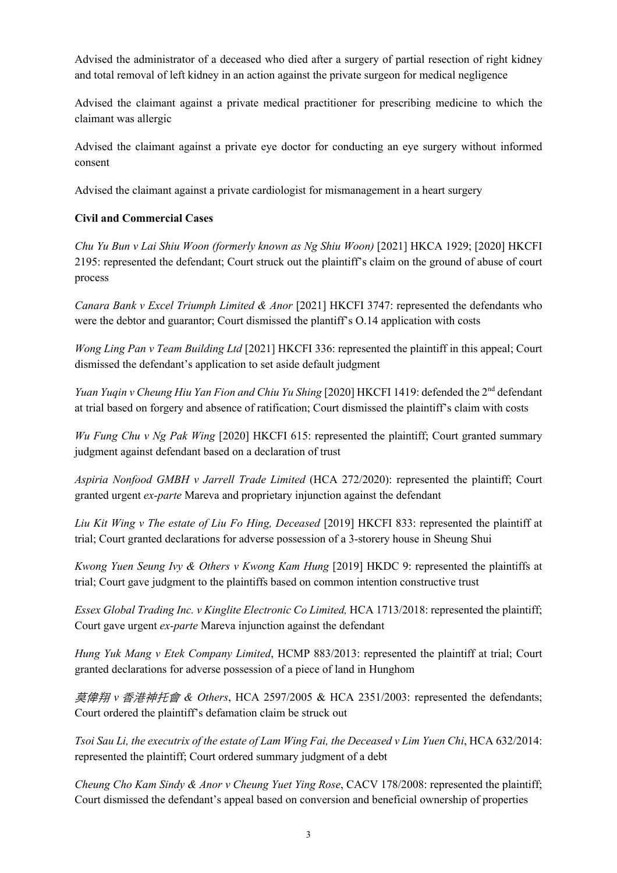Advised the administrator of a deceased who died after a surgery of partial resection of right kidney and total removal of left kidney in an action against the private surgeon for medical negligence

Advised the claimant against a private medical practitioner for prescribing medicine to which the claimant was allergic

Advised the claimant against a private eye doctor for conducting an eye surgery without informed consent

Advised the claimant against a private cardiologist for mismanagement in a heart surgery

### **Civil and Commercial Cases**

*Chu Yu Bun v Lai Shiu Woon (formerly known as Ng Shiu Woon)* [2021] HKCA 1929; [2020] HKCFI 2195: represented the defendant; Court struck out the plaintiff's claim on the ground of abuse of court process

*Canara Bank v Excel Triumph Limited & Anor* [2021] HKCFI 3747: represented the defendants who were the debtor and guarantor; Court dismissed the plantiff's O.14 application with costs

*Wong Ling Pan v Team Building Ltd* [2021] HKCFI 336: represented the plaintiff in this appeal; Court dismissed the defendant's application to set aside default judgment

*Yuan Yuqin v Cheung Hiu Yan Fion and Chiu Yu Shing* [2020] HKCFI 1419: defended the 2nd defendant at trial based on forgery and absence of ratification; Court dismissed the plaintiff's claim with costs

*Wu Fung Chu v Ng Pak Wing* [2020] HKCFI 615: represented the plaintiff; Court granted summary judgment against defendant based on a declaration of trust

*Aspiria Nonfood GMBH v Jarrell Trade Limited* (HCA 272/2020): represented the plaintiff; Court granted urgent *ex-parte* Mareva and proprietary injunction against the defendant

*Liu Kit Wing v The estate of Liu Fo Hing, Deceased* [2019] HKCFI 833: represented the plaintiff at trial; Court granted declarations for adverse possession of a 3-storery house in Sheung Shui

*Kwong Yuen Seung Ivy & Others v Kwong Kam Hung* [2019] HKDC 9: represented the plaintiffs at trial; Court gave judgment to the plaintiffs based on common intention constructive trust

*Essex Global Trading Inc. v Kinglite Electronic Co Limited, HCA 1713/2018: represented the plaintiff;* Court gave urgent *ex-parte* Mareva injunction against the defendant

*Hung Yuk Mang v Etek Company Limited*, HCMP 883/2013: represented the plaintiff at trial; Court granted declarations for adverse possession of a piece of land in Hunghom

莫偉翔 *v* 香港神托會 *& Others*, HCA 2597/2005 & HCA 2351/2003: represented the defendants; Court ordered the plaintiff's defamation claim be struck out

*Tsoi Sau Li, the executrix of the estate of Lam Wing Fai, the Deceased v Lim Yuen Chi*, HCA 632/2014: represented the plaintiff; Court ordered summary judgment of a debt

*Cheung Cho Kam Sindy & Anor v Cheung Yuet Ying Rose*, CACV 178/2008: represented the plaintiff; Court dismissed the defendant's appeal based on conversion and beneficial ownership of properties